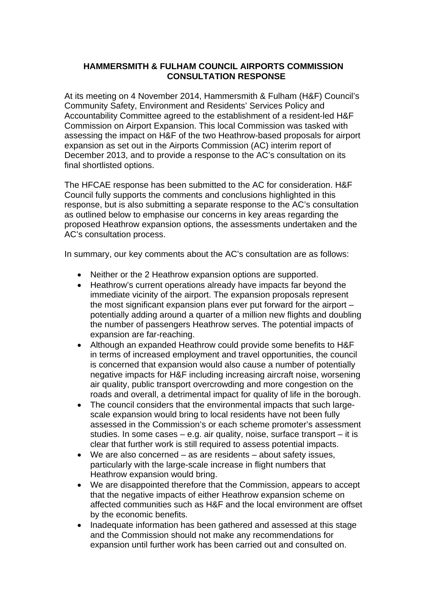# **HAMMERSMITH & FULHAM COUNCIL AIRPORTS COMMISSION CONSULTATION RESPONSE**

At its meeting on 4 November 2014, Hammersmith & Fulham (H&F) Council's Community Safety, Environment and Residents' Services Policy and Accountability Committee agreed to the establishment of a resident-led H&F Commission on Airport Expansion. This local Commission was tasked with assessing the impact on H&F of the two Heathrow-based proposals for airport expansion as set out in the Airports Commission (AC) interim report of December 2013, and to provide a response to the AC's consultation on its final shortlisted options.

The HFCAE response has been submitted to the AC for consideration. H&F Council fully supports the comments and conclusions highlighted in this response, but is also submitting a separate response to the AC's consultation as outlined below to emphasise our concerns in key areas regarding the proposed Heathrow expansion options, the assessments undertaken and the AC's consultation process.

In summary, our key comments about the AC's consultation are as follows:

- Neither or the 2 Heathrow expansion options are supported.
- Heathrow's current operations already have impacts far beyond the immediate vicinity of the airport. The expansion proposals represent the most significant expansion plans ever put forward for the airport – potentially adding around a quarter of a million new flights and doubling the number of passengers Heathrow serves. The potential impacts of expansion are far-reaching.
- Although an expanded Heathrow could provide some benefits to H&F in terms of increased employment and travel opportunities, the council is concerned that expansion would also cause a number of potentially negative impacts for H&F including increasing aircraft noise, worsening air quality, public transport overcrowding and more congestion on the roads and overall, a detrimental impact for quality of life in the borough.
- The council considers that the environmental impacts that such largescale expansion would bring to local residents have not been fully assessed in the Commission's or each scheme promoter's assessment studies. In some cases – e.g. air quality, noise, surface transport – it is clear that further work is still required to assess potential impacts.
- We are also concerned as are residents about safety issues, particularly with the large-scale increase in flight numbers that Heathrow expansion would bring.
- We are disappointed therefore that the Commission, appears to accept that the negative impacts of either Heathrow expansion scheme on affected communities such as H&F and the local environment are offset by the economic benefits.
- Inadequate information has been gathered and assessed at this stage and the Commission should not make any recommendations for expansion until further work has been carried out and consulted on.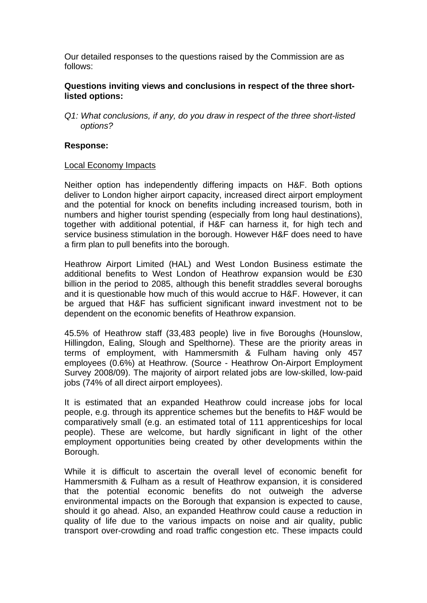Our detailed responses to the questions raised by the Commission are as follows:

## **Questions inviting views and conclusions in respect of the three shortlisted options:**

*Q1: What conclusions, if any, do you draw in respect of the three short-listed options?* 

#### **Response:**

#### Local Economy Impacts

Neither option has independently differing impacts on H&F. Both options deliver to London higher airport capacity, increased direct airport employment and the potential for knock on benefits including increased tourism, both in numbers and higher tourist spending (especially from long haul destinations), together with additional potential, if H&F can harness it, for high tech and service business stimulation in the borough. However H&F does need to have a firm plan to pull benefits into the borough.

Heathrow Airport Limited (HAL) and West London Business estimate the additional benefits to West London of Heathrow expansion would be £30 billion in the period to 2085, although this benefit straddles several boroughs and it is questionable how much of this would accrue to H&F. However, it can be argued that H&F has sufficient significant inward investment not to be dependent on the economic benefits of Heathrow expansion.

45.5% of Heathrow staff (33,483 people) live in five Boroughs (Hounslow, Hillingdon, Ealing, Slough and Spelthorne). These are the priority areas in terms of employment, with Hammersmith & Fulham having only 457 employees (0.6%) at Heathrow. (Source - Heathrow On-Airport Employment Survey 2008/09). The majority of airport related jobs are low-skilled, low-paid jobs (74% of all direct airport employees).

It is estimated that an expanded Heathrow could increase jobs for local people, e.g. through its apprentice schemes but the benefits to H&F would be comparatively small (e.g. an estimated total of 111 apprenticeships for local people). These are welcome, but hardly significant in light of the other employment opportunities being created by other developments within the Borough.

While it is difficult to ascertain the overall level of economic benefit for Hammersmith & Fulham as a result of Heathrow expansion, it is considered that the potential economic benefits do not outweigh the adverse environmental impacts on the Borough that expansion is expected to cause, should it go ahead. Also, an expanded Heathrow could cause a reduction in quality of life due to the various impacts on noise and air quality, public transport over-crowding and road traffic congestion etc. These impacts could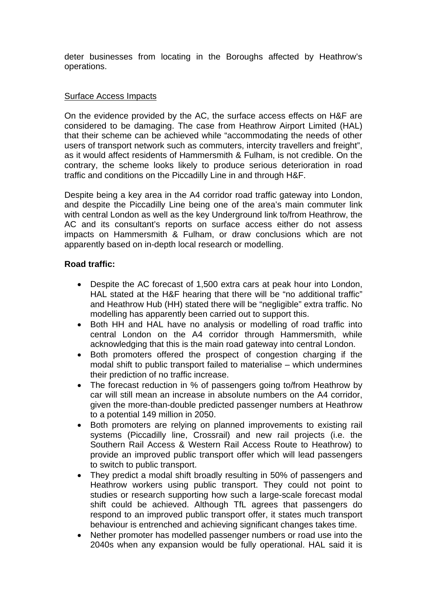deter businesses from locating in the Boroughs affected by Heathrow's operations.

## Surface Access Impacts

On the evidence provided by the AC, the surface access effects on H&F are considered to be damaging. The case from Heathrow Airport Limited (HAL) that their scheme can be achieved while "accommodating the needs of other users of transport network such as commuters, intercity travellers and freight", as it would affect residents of Hammersmith & Fulham, is not credible. On the contrary, the scheme looks likely to produce serious deterioration in road traffic and conditions on the Piccadilly Line in and through H&F.

Despite being a key area in the A4 corridor road traffic gateway into London, and despite the Piccadilly Line being one of the area's main commuter link with central London as well as the key Underground link to/from Heathrow, the AC and its consultant's reports on surface access either do not assess impacts on Hammersmith & Fulham, or draw conclusions which are not apparently based on in-depth local research or modelling.

## **Road traffic:**

- Despite the AC forecast of 1,500 extra cars at peak hour into London, HAL stated at the H&F hearing that there will be "no additional traffic" and Heathrow Hub (HH) stated there will be "negligible" extra traffic. No modelling has apparently been carried out to support this.
- Both HH and HAL have no analysis or modelling of road traffic into central London on the A4 corridor through Hammersmith, while acknowledging that this is the main road gateway into central London.
- Both promoters offered the prospect of congestion charging if the modal shift to public transport failed to materialise – which undermines their prediction of no traffic increase.
- The forecast reduction in % of passengers going to/from Heathrow by car will still mean an increase in absolute numbers on the A4 corridor, given the more-than-double predicted passenger numbers at Heathrow to a potential 149 million in 2050.
- Both promoters are relying on planned improvements to existing rail systems (Piccadilly line, Crossrail) and new rail projects (i.e. the Southern Rail Access & Western Rail Access Route to Heathrow) to provide an improved public transport offer which will lead passengers to switch to public transport.
- They predict a modal shift broadly resulting in 50% of passengers and Heathrow workers using public transport. They could not point to studies or research supporting how such a large-scale forecast modal shift could be achieved. Although TfL agrees that passengers do respond to an improved public transport offer, it states much transport behaviour is entrenched and achieving significant changes takes time.
- Nether promoter has modelled passenger numbers or road use into the 2040s when any expansion would be fully operational. HAL said it is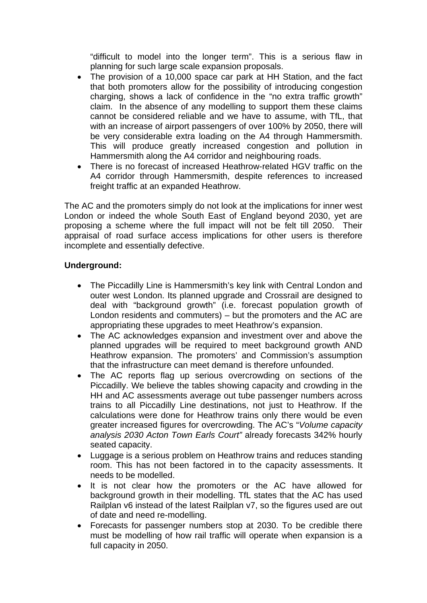"difficult to model into the longer term". This is a serious flaw in planning for such large scale expansion proposals.

- The provision of a 10,000 space car park at HH Station, and the fact that both promoters allow for the possibility of introducing congestion charging, shows a lack of confidence in the "no extra traffic growth" claim. In the absence of any modelling to support them these claims cannot be considered reliable and we have to assume, with TfL, that with an increase of airport passengers of over 100% by 2050, there will be very considerable extra loading on the A4 through Hammersmith. This will produce greatly increased congestion and pollution in Hammersmith along the A4 corridor and neighbouring roads.
- There is no forecast of increased Heathrow-related HGV traffic on the A4 corridor through Hammersmith, despite references to increased freight traffic at an expanded Heathrow.

The AC and the promoters simply do not look at the implications for inner west London or indeed the whole South East of England beyond 2030, yet are proposing a scheme where the full impact will not be felt till 2050. Their appraisal of road surface access implications for other users is therefore incomplete and essentially defective.

# **Underground:**

- The Piccadilly Line is Hammersmith's key link with Central London and outer west London. Its planned upgrade and Crossrail are designed to deal with "background growth" (i.e. forecast population growth of London residents and commuters) – but the promoters and the AC are appropriating these upgrades to meet Heathrow's expansion.
- The AC acknowledges expansion and investment over and above the planned upgrades will be required to meet background growth AND Heathrow expansion. The promoters' and Commission's assumption that the infrastructure can meet demand is therefore unfounded.
- The AC reports flag up serious overcrowding on sections of the Piccadilly. We believe the tables showing capacity and crowding in the HH and AC assessments average out tube passenger numbers across trains to all Piccadilly Line destinations, not just to Heathrow. If the calculations were done for Heathrow trains only there would be even greater increased figures for overcrowding. The AC's "*Volume capacity analysis 2030 Acton Town Earls Court"* already forecasts 342% hourly seated capacity.
- Luggage is a serious problem on Heathrow trains and reduces standing room. This has not been factored in to the capacity assessments. It needs to be modelled.
- It is not clear how the promoters or the AC have allowed for background growth in their modelling. TfL states that the AC has used Railplan v6 instead of the latest Railplan v7, so the figures used are out of date and need re-modelling.
- Forecasts for passenger numbers stop at 2030. To be credible there must be modelling of how rail traffic will operate when expansion is a full capacity in 2050.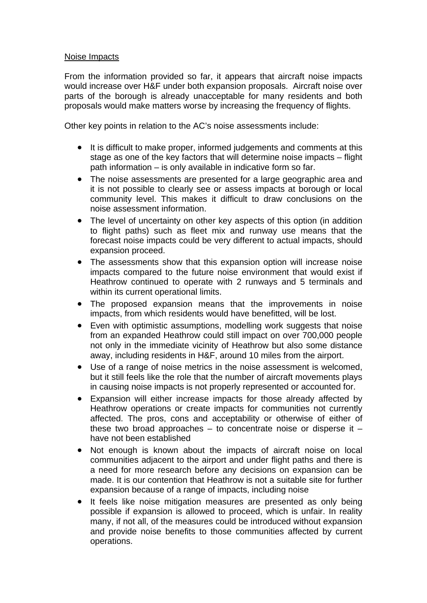## Noise Impacts

From the information provided so far, it appears that aircraft noise impacts would increase over H&F under both expansion proposals. Aircraft noise over parts of the borough is already unacceptable for many residents and both proposals would make matters worse by increasing the frequency of flights.

Other key points in relation to the AC's noise assessments include:

- It is difficult to make proper, informed judgements and comments at this stage as one of the key factors that will determine noise impacts – flight path information – is only available in indicative form so far.
- The noise assessments are presented for a large geographic area and it is not possible to clearly see or assess impacts at borough or local community level. This makes it difficult to draw conclusions on the noise assessment information.
- The level of uncertainty on other key aspects of this option (in addition to flight paths) such as fleet mix and runway use means that the forecast noise impacts could be very different to actual impacts, should expansion proceed.
- The assessments show that this expansion option will increase noise impacts compared to the future noise environment that would exist if Heathrow continued to operate with 2 runways and 5 terminals and within its current operational limits.
- The proposed expansion means that the improvements in noise impacts, from which residents would have benefitted, will be lost.
- Even with optimistic assumptions, modelling work suggests that noise from an expanded Heathrow could still impact on over 700,000 people not only in the immediate vicinity of Heathrow but also some distance away, including residents in H&F, around 10 miles from the airport.
- Use of a range of noise metrics in the noise assessment is welcomed, but it still feels like the role that the number of aircraft movements plays in causing noise impacts is not properly represented or accounted for.
- Expansion will either increase impacts for those already affected by Heathrow operations or create impacts for communities not currently affected. The pros, cons and acceptability or otherwise of either of these two broad approaches  $-$  to concentrate noise or disperse it  $$ have not been established
- Not enough is known about the impacts of aircraft noise on local communities adjacent to the airport and under flight paths and there is a need for more research before any decisions on expansion can be made. It is our contention that Heathrow is not a suitable site for further expansion because of a range of impacts, including noise
- It feels like noise mitigation measures are presented as only being possible if expansion is allowed to proceed, which is unfair. In reality many, if not all, of the measures could be introduced without expansion and provide noise benefits to those communities affected by current operations.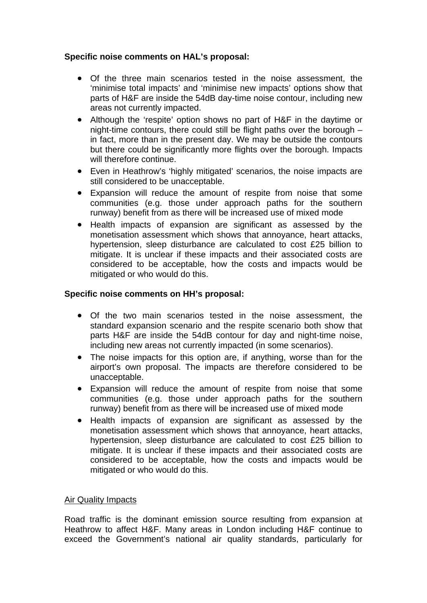# **Specific noise comments on HAL's proposal:**

- Of the three main scenarios tested in the noise assessment, the 'minimise total impacts' and 'minimise new impacts' options show that parts of H&F are inside the 54dB day-time noise contour, including new areas not currently impacted.
- Although the 'respite' option shows no part of H&F in the daytime or night-time contours, there could still be flight paths over the borough – in fact, more than in the present day. We may be outside the contours but there could be significantly more flights over the borough. Impacts will therefore continue.
- Even in Heathrow's 'highly mitigated' scenarios, the noise impacts are still considered to be unacceptable.
- Expansion will reduce the amount of respite from noise that some communities (e.g. those under approach paths for the southern runway) benefit from as there will be increased use of mixed mode
- Health impacts of expansion are significant as assessed by the monetisation assessment which shows that annoyance, heart attacks, hypertension, sleep disturbance are calculated to cost £25 billion to mitigate. It is unclear if these impacts and their associated costs are considered to be acceptable, how the costs and impacts would be mitigated or who would do this.

## **Specific noise comments on HH's proposal:**

- Of the two main scenarios tested in the noise assessment, the standard expansion scenario and the respite scenario both show that parts H&F are inside the 54dB contour for day and night-time noise, including new areas not currently impacted (in some scenarios).
- The noise impacts for this option are, if anything, worse than for the airport's own proposal. The impacts are therefore considered to be unacceptable.
- Expansion will reduce the amount of respite from noise that some communities (e.g. those under approach paths for the southern runway) benefit from as there will be increased use of mixed mode
- Health impacts of expansion are significant as assessed by the monetisation assessment which shows that annoyance, heart attacks, hypertension, sleep disturbance are calculated to cost £25 billion to mitigate. It is unclear if these impacts and their associated costs are considered to be acceptable, how the costs and impacts would be mitigated or who would do this.

## Air Quality Impacts

Road traffic is the dominant emission source resulting from expansion at Heathrow to affect H&F. Many areas in London including H&F continue to exceed the Government's national air quality standards, particularly for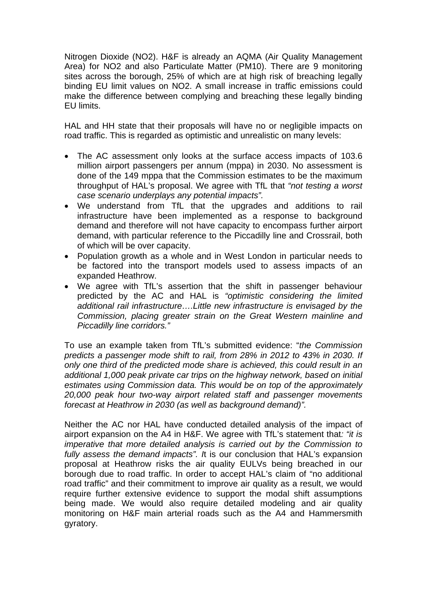Nitrogen Dioxide (NO2). H&F is already an AQMA (Air Quality Management Area) for NO2 and also Particulate Matter (PM10). There are 9 monitoring sites across the borough, 25% of which are at high risk of breaching legally binding EU limit values on NO2. A small increase in traffic emissions could make the difference between complying and breaching these legally binding EU limits.

HAL and HH state that their proposals will have no or negligible impacts on road traffic. This is regarded as optimistic and unrealistic on many levels:

- The AC assessment only looks at the surface access impacts of 103.6 million airport passengers per annum (mppa) in 2030. No assessment is done of the 149 mppa that the Commission estimates to be the maximum throughput of HAL's proposal. We agree with TfL that *"not testing a worst case scenario underplays any potential impacts".*
- We understand from TfL that the upgrades and additions to rail infrastructure have been implemented as a response to background demand and therefore will not have capacity to encompass further airport demand, with particular reference to the Piccadilly line and Crossrail, both of which will be over capacity.
- Population growth as a whole and in West London in particular needs to be factored into the transport models used to assess impacts of an expanded Heathrow.
- We agree with TfL's assertion that the shift in passenger behaviour predicted by the AC and HAL is *"optimistic considering the limited additional rail infrastructure….Little new infrastructure is envisaged by the Commission, placing greater strain on the Great Western mainline and Piccadilly line corridors."*

To use an example taken from TfL's submitted evidence: "*the Commission predicts a passenger mode shift to rail, from 28% in 2012 to 43% in 2030. If only one third of the predicted mode share is achieved, this could result in an additional 1,000 peak private car trips on the highway network, based on initial estimates using Commission data. This would be on top of the approximately 20,000 peak hour two-way airport related staff and passenger movements forecast at Heathrow in 2030 (as well as background demand)".* 

Neither the AC nor HAL have conducted detailed analysis of the impact of airport expansion on the A4 in H&F. We agree with TfL's statement that*: "it is imperative that more detailed analysis is carried out by the Commission to fully assess the demand impacts". I*t is our conclusion that HAL's expansion proposal at Heathrow risks the air quality EULVs being breached in our borough due to road traffic. In order to accept HAL's claim of "no additional road traffic" and their commitment to improve air quality as a result, we would require further extensive evidence to support the modal shift assumptions being made. We would also require detailed modeling and air quality monitoring on H&F main arterial roads such as the A4 and Hammersmith gyratory.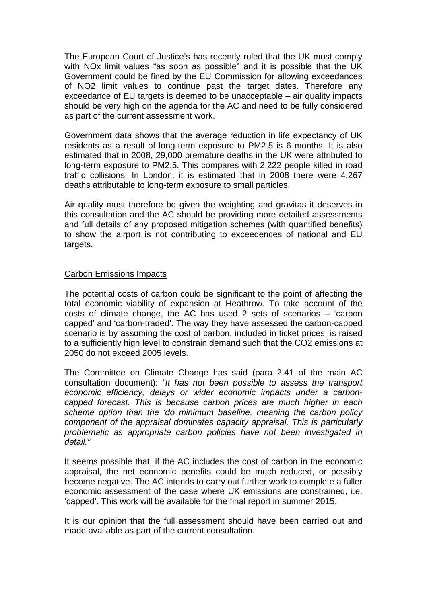The European Court of Justice's has recently ruled that the UK must comply with NOx limit values "as soon as possible" and it is possible that the UK Government could be fined by the EU Commission for allowing exceedances of NO2 limit values to continue past the target dates. Therefore any exceedance of EU targets is deemed to be unacceptable – air quality impacts should be very high on the agenda for the AC and need to be fully considered as part of the current assessment work.

Government data shows that the average reduction in life expectancy of UK residents as a result of long-term exposure to PM2.5 is 6 months. It is also estimated that in 2008, 29,000 premature deaths in the UK were attributed to long-term exposure to PM2.5. This compares with 2,222 people killed in road traffic collisions. In London, it is estimated that in 2008 there were 4,267 deaths attributable to long-term exposure to small particles.

Air quality must therefore be given the weighting and gravitas it deserves in this consultation and the AC should be providing more detailed assessments and full details of any proposed mitigation schemes (with quantified benefits) to show the airport is not contributing to exceedences of national and EU targets.

## Carbon Emissions Impacts

The potential costs of carbon could be significant to the point of affecting the total economic viability of expansion at Heathrow. To take account of the costs of climate change, the AC has used 2 sets of scenarios – 'carbon capped' and 'carbon-traded'. The way they have assessed the carbon-capped scenario is by assuming the cost of carbon, included in ticket prices, is raised to a sufficiently high level to constrain demand such that the CO2 emissions at 2050 do not exceed 2005 levels.

The Committee on Climate Change has said (para 2.41 of the main AC consultation document): *"It has not been possible to assess the transport economic efficiency, delays or wider economic impacts under a carboncapped forecast. This is because carbon prices are much higher in each scheme option than the 'do minimum baseline, meaning the carbon policy component of the appraisal dominates capacity appraisal. This is particularly problematic as appropriate carbon policies have not been investigated in detail."* 

It seems possible that, if the AC includes the cost of carbon in the economic appraisal, the net economic benefits could be much reduced, or possibly become negative. The AC intends to carry out further work to complete a fuller economic assessment of the case where UK emissions are constrained, i.e. 'capped'. This work will be available for the final report in summer 2015.

It is our opinion that the full assessment should have been carried out and made available as part of the current consultation.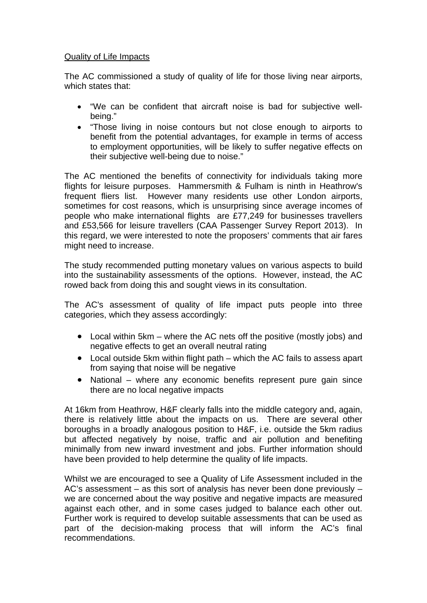# Quality of Life Impacts

The AC commissioned a study of quality of life for those living near airports, which states that:

- "We can be confident that aircraft noise is bad for subjective wellbeing."
- "Those living in noise contours but not close enough to airports to benefit from the potential advantages, for example in terms of access to employment opportunities, will be likely to suffer negative effects on their subjective well-being due to noise."

The AC mentioned the benefits of connectivity for individuals taking more flights for leisure purposes. Hammersmith & Fulham is ninth in Heathrow's frequent fliers list. However many residents use other London airports, sometimes for cost reasons, which is unsurprising since average incomes of people who make international flights are £77,249 for businesses travellers and £53,566 for leisure travellers (CAA Passenger Survey Report 2013). In this regard, we were interested to note the proposers' comments that air fares might need to increase.

The study recommended putting monetary values on various aspects to build into the sustainability assessments of the options. However, instead, the AC rowed back from doing this and sought views in its consultation.

The AC's assessment of quality of life impact puts people into three categories, which they assess accordingly:

- Local within 5km where the AC nets off the positive (mostly jobs) and negative effects to get an overall neutral rating
- Local outside 5km within flight path which the AC fails to assess apart from saying that noise will be negative
- National where any economic benefits represent pure gain since there are no local negative impacts

At 16km from Heathrow, H&F clearly falls into the middle category and, again, there is relatively little about the impacts on us. There are several other boroughs in a broadly analogous position to H&F, i.e. outside the 5km radius but affected negatively by noise, traffic and air pollution and benefiting minimally from new inward investment and jobs. Further information should have been provided to help determine the quality of life impacts.

Whilst we are encouraged to see a Quality of Life Assessment included in the AC's assessment – as this sort of analysis has never been done previously – we are concerned about the way positive and negative impacts are measured against each other, and in some cases judged to balance each other out. Further work is required to develop suitable assessments that can be used as part of the decision-making process that will inform the AC's final recommendations.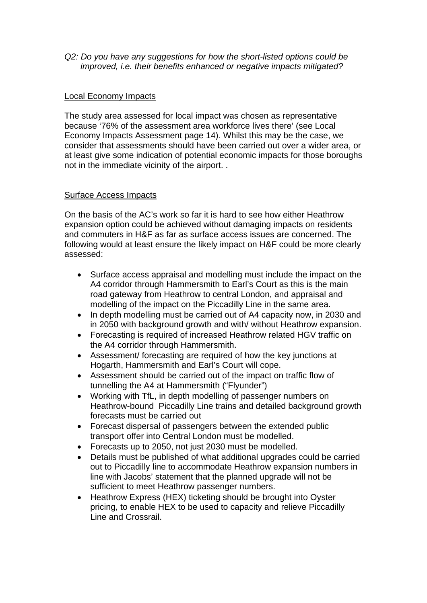*Q2: Do you have any suggestions for how the short-listed options could be improved, i.e. their benefits enhanced or negative impacts mitigated?* 

## Local Economy Impacts

The study area assessed for local impact was chosen as representative because '76% of the assessment area workforce lives there' (see Local Economy Impacts Assessment page 14). Whilst this may be the case, we consider that assessments should have been carried out over a wider area, or at least give some indication of potential economic impacts for those boroughs not in the immediate vicinity of the airport. .

#### Surface Access Impacts

On the basis of the AC's work so far it is hard to see how either Heathrow expansion option could be achieved without damaging impacts on residents and commuters in H&F as far as surface access issues are concerned. The following would at least ensure the likely impact on H&F could be more clearly assessed:

- Surface access appraisal and modelling must include the impact on the A4 corridor through Hammersmith to Earl's Court as this is the main road gateway from Heathrow to central London, and appraisal and modelling of the impact on the Piccadilly Line in the same area.
- In depth modelling must be carried out of A4 capacity now, in 2030 and in 2050 with background growth and with/ without Heathrow expansion.
- Forecasting is required of increased Heathrow related HGV traffic on the A4 corridor through Hammersmith.
- Assessment/ forecasting are required of how the key junctions at Hogarth, Hammersmith and Earl's Court will cope.
- Assessment should be carried out of the impact on traffic flow of tunnelling the A4 at Hammersmith ("Flyunder")
- Working with TfL, in depth modelling of passenger numbers on Heathrow-bound Piccadilly Line trains and detailed background growth forecasts must be carried out
- Forecast dispersal of passengers between the extended public transport offer into Central London must be modelled.
- Forecasts up to 2050, not just 2030 must be modelled.
- Details must be published of what additional upgrades could be carried out to Piccadilly line to accommodate Heathrow expansion numbers in line with Jacobs' statement that the planned upgrade will not be sufficient to meet Heathrow passenger numbers.
- Heathrow Express (HEX) ticketing should be brought into Oyster pricing, to enable HEX to be used to capacity and relieve Piccadilly Line and Crossrail.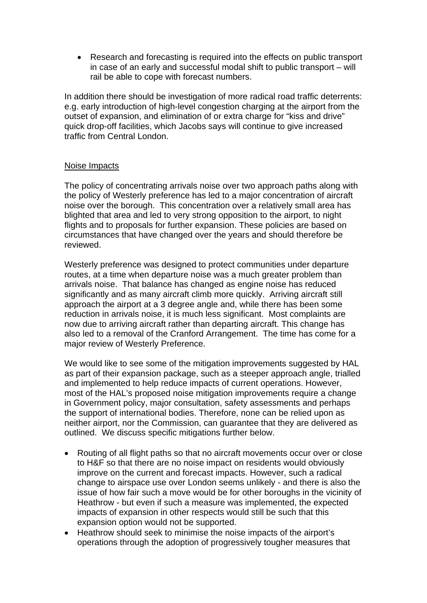• Research and forecasting is required into the effects on public transport in case of an early and successful modal shift to public transport – will rail be able to cope with forecast numbers.

In addition there should be investigation of more radical road traffic deterrents: e.g. early introduction of high-level congestion charging at the airport from the outset of expansion, and elimination of or extra charge for "kiss and drive" quick drop-off facilities, which Jacobs says will continue to give increased traffic from Central London.

## Noise Impacts

The policy of concentrating arrivals noise over two approach paths along with the policy of Westerly preference has led to a major concentration of aircraft noise over the borough. This concentration over a relatively small area has blighted that area and led to very strong opposition to the airport, to night flights and to proposals for further expansion. These policies are based on circumstances that have changed over the years and should therefore be reviewed.

Westerly preference was designed to protect communities under departure routes, at a time when departure noise was a much greater problem than arrivals noise. That balance has changed as engine noise has reduced significantly and as many aircraft climb more quickly. Arriving aircraft still approach the airport at a 3 degree angle and, while there has been some reduction in arrivals noise, it is much less significant. Most complaints are now due to arriving aircraft rather than departing aircraft. This change has also led to a removal of the Cranford Arrangement. The time has come for a major review of Westerly Preference.

We would like to see some of the mitigation improvements suggested by HAL as part of their expansion package, such as a steeper approach angle, trialled and implemented to help reduce impacts of current operations. However, most of the HAL's proposed noise mitigation improvements require a change in Government policy, major consultation, safety assessments and perhaps the support of international bodies. Therefore, none can be relied upon as neither airport, nor the Commission, can guarantee that they are delivered as outlined. We discuss specific mitigations further below.

- Routing of all flight paths so that no aircraft movements occur over or close to H&F so that there are no noise impact on residents would obviously improve on the current and forecast impacts. However, such a radical change to airspace use over London seems unlikely - and there is also the issue of how fair such a move would be for other boroughs in the vicinity of Heathrow - but even if such a measure was implemented, the expected impacts of expansion in other respects would still be such that this expansion option would not be supported.
- Heathrow should seek to minimise the noise impacts of the airport's operations through the adoption of progressively tougher measures that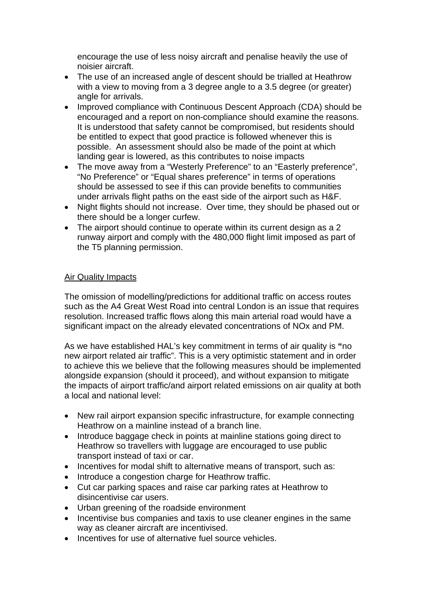encourage the use of less noisy aircraft and penalise heavily the use of noisier aircraft.

- The use of an increased angle of descent should be trialled at Heathrow with a view to moving from a 3 degree angle to a 3.5 degree (or greater) angle for arrivals.
- Improved compliance with Continuous Descent Approach (CDA) should be encouraged and a report on non-compliance should examine the reasons. It is understood that safety cannot be compromised, but residents should be entitled to expect that good practice is followed whenever this is possible. An assessment should also be made of the point at which landing gear is lowered, as this contributes to noise impacts
- The move away from a "Westerly Preference" to an "Easterly preference", "No Preference" or "Equal shares preference" in terms of operations should be assessed to see if this can provide benefits to communities under arrivals flight paths on the east side of the airport such as H&F.
- Night flights should not increase. Over time, they should be phased out or there should be a longer curfew.
- The airport should continue to operate within its current design as a 2 runway airport and comply with the 480,000 flight limit imposed as part of the T5 planning permission.

# Air Quality Impacts

The omission of modelling/predictions for additional traffic on access routes such as the A4 Great West Road into central London is an issue that requires resolution. Increased traffic flows along this main arterial road would have a significant impact on the already elevated concentrations of NOx and PM.

As we have established HAL's key commitment in terms of air quality is **"**no new airport related air traffic". This is a very optimistic statement and in order to achieve this we believe that the following measures should be implemented alongside expansion (should it proceed), and without expansion to mitigate the impacts of airport traffic/and airport related emissions on air quality at both a local and national level:

- New rail airport expansion specific infrastructure, for example connecting Heathrow on a mainline instead of a branch line.
- Introduce baggage check in points at mainline stations going direct to Heathrow so travellers with luggage are encouraged to use public transport instead of taxi or car.
- Incentives for modal shift to alternative means of transport, such as:
- Introduce a congestion charge for Heathrow traffic.
- Cut car parking spaces and raise car parking rates at Heathrow to disincentivise car users.
- Urban greening of the roadside environment
- Incentivise bus companies and taxis to use cleaner engines in the same way as cleaner aircraft are incentivised.
- Incentives for use of alternative fuel source vehicles.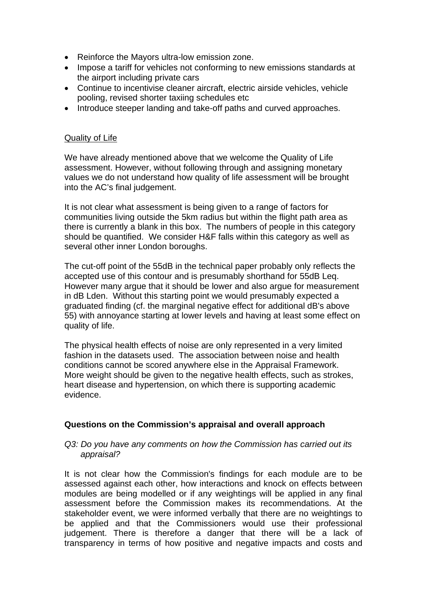- Reinforce the Mayors ultra-low emission zone.
- Impose a tariff for vehicles not conforming to new emissions standards at the airport including private cars
- Continue to incentivise cleaner aircraft, electric airside vehicles, vehicle pooling, revised shorter taxiing schedules etc
- Introduce steeper landing and take-off paths and curved approaches.

# Quality of Life

We have already mentioned above that we welcome the Quality of Life assessment. However, without following through and assigning monetary values we do not understand how quality of life assessment will be brought into the AC's final judgement.

It is not clear what assessment is being given to a range of factors for communities living outside the 5km radius but within the flight path area as there is currently a blank in this box. The numbers of people in this category should be quantified. We consider H&F falls within this category as well as several other inner London boroughs.

The cut-off point of the 55dB in the technical paper probably only reflects the accepted use of this contour and is presumably shorthand for 55dB Leq. However many argue that it should be lower and also argue for measurement in dB Lden. Without this starting point we would presumably expected a graduated finding (cf. the marginal negative effect for additional dB's above 55) with annoyance starting at lower levels and having at least some effect on quality of life.

The physical health effects of noise are only represented in a very limited fashion in the datasets used. The association between noise and health conditions cannot be scored anywhere else in the Appraisal Framework. More weight should be given to the negative health effects, such as strokes, heart disease and hypertension, on which there is supporting academic evidence.

## **Questions on the Commission's appraisal and overall approach**

#### *Q3: Do you have any comments on how the Commission has carried out its appraisal?*

It is not clear how the Commission's findings for each module are to be assessed against each other, how interactions and knock on effects between modules are being modelled or if any weightings will be applied in any final assessment before the Commission makes its recommendations. At the stakeholder event, we were informed verbally that there are no weightings to be applied and that the Commissioners would use their professional judgement. There is therefore a danger that there will be a lack of transparency in terms of how positive and negative impacts and costs and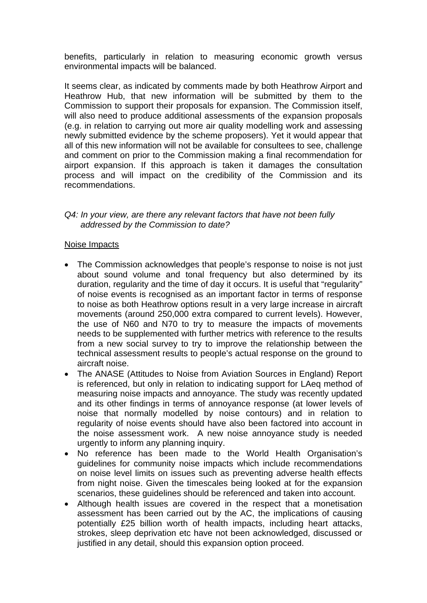benefits, particularly in relation to measuring economic growth versus environmental impacts will be balanced.

It seems clear, as indicated by comments made by both Heathrow Airport and Heathrow Hub, that new information will be submitted by them to the Commission to support their proposals for expansion. The Commission itself, will also need to produce additional assessments of the expansion proposals (e.g. in relation to carrying out more air quality modelling work and assessing newly submitted evidence by the scheme proposers). Yet it would appear that all of this new information will not be available for consultees to see, challenge and comment on prior to the Commission making a final recommendation for airport expansion. If this approach is taken it damages the consultation process and will impact on the credibility of the Commission and its recommendations.

## *Q4: In your view, are there any relevant factors that have not been fully addressed by the Commission to date?*

#### Noise Impacts

- The Commission acknowledges that people's response to noise is not just about sound volume and tonal frequency but also determined by its duration, regularity and the time of day it occurs. It is useful that "regularity" of noise events is recognised as an important factor in terms of response to noise as both Heathrow options result in a very large increase in aircraft movements (around 250,000 extra compared to current levels). However, the use of N60 and N70 to try to measure the impacts of movements needs to be supplemented with further metrics with reference to the results from a new social survey to try to improve the relationship between the technical assessment results to people's actual response on the ground to aircraft noise.
- The ANASE (Attitudes to Noise from Aviation Sources in England) Report is referenced, but only in relation to indicating support for LAeq method of measuring noise impacts and annoyance. The study was recently updated and its other findings in terms of annoyance response (at lower levels of noise that normally modelled by noise contours) and in relation to regularity of noise events should have also been factored into account in the noise assessment work. A new noise annoyance study is needed urgently to inform any planning inquiry.
- No reference has been made to the World Health Organisation's guidelines for community noise impacts which include recommendations on noise level limits on issues such as preventing adverse health effects from night noise. Given the timescales being looked at for the expansion scenarios, these guidelines should be referenced and taken into account.
- Although health issues are covered in the respect that a monetisation assessment has been carried out by the AC, the implications of causing potentially £25 billion worth of health impacts, including heart attacks, strokes, sleep deprivation etc have not been acknowledged, discussed or justified in any detail, should this expansion option proceed.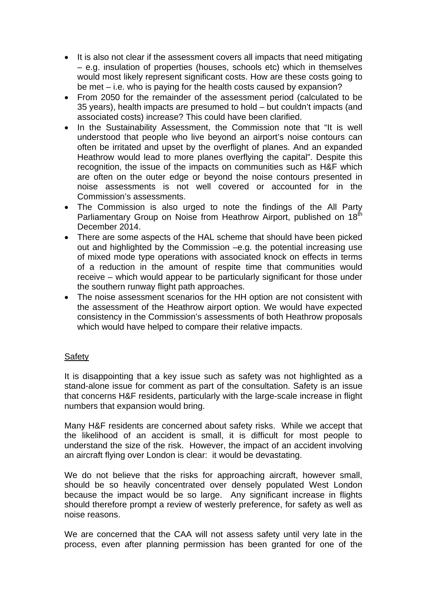- It is also not clear if the assessment covers all impacts that need mitigating – e.g. insulation of properties (houses, schools etc) which in themselves would most likely represent significant costs. How are these costs going to be met – i.e. who is paying for the health costs caused by expansion?
- From 2050 for the remainder of the assessment period (calculated to be 35 years), health impacts are presumed to hold – but couldn't impacts (and associated costs) increase? This could have been clarified.
- In the Sustainability Assessment, the Commission note that "It is well understood that people who live beyond an airport's noise contours can often be irritated and upset by the overflight of planes. And an expanded Heathrow would lead to more planes overflying the capital". Despite this recognition, the issue of the impacts on communities such as H&F which are often on the outer edge or beyond the noise contours presented in noise assessments is not well covered or accounted for in the Commission's assessments.
- The Commission is also urged to note the findings of the All Party Parliamentary Group on Noise from Heathrow Airport, published on 18<sup>th</sup> December 2014.
- There are some aspects of the HAL scheme that should have been picked out and highlighted by the Commission –e.g. the potential increasing use of mixed mode type operations with associated knock on effects in terms of a reduction in the amount of respite time that communities would receive – which would appear to be particularly significant for those under the southern runway flight path approaches.
- The noise assessment scenarios for the HH option are not consistent with the assessment of the Heathrow airport option. We would have expected consistency in the Commission's assessments of both Heathrow proposals which would have helped to compare their relative impacts.

# **Safety**

It is disappointing that a key issue such as safety was not highlighted as a stand-alone issue for comment as part of the consultation. Safety is an issue that concerns H&F residents, particularly with the large-scale increase in flight numbers that expansion would bring.

Many H&F residents are concerned about safety risks. While we accept that the likelihood of an accident is small, it is difficult for most people to understand the size of the risk. However, the impact of an accident involving an aircraft flying over London is clear: it would be devastating.

We do not believe that the risks for approaching aircraft, however small, should be so heavily concentrated over densely populated West London because the impact would be so large. Any significant increase in flights should therefore prompt a review of westerly preference, for safety as well as noise reasons.

We are concerned that the CAA will not assess safety until very late in the process, even after planning permission has been granted for one of the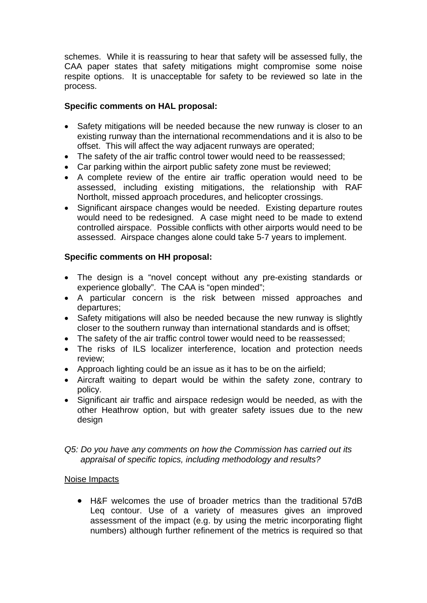schemes. While it is reassuring to hear that safety will be assessed fully, the CAA paper states that safety mitigations might compromise some noise respite options. It is unacceptable for safety to be reviewed so late in the process.

# **Specific comments on HAL proposal:**

- Safety mitigations will be needed because the new runway is closer to an existing runway than the international recommendations and it is also to be offset. This will affect the way adjacent runways are operated;
- The safety of the air traffic control tower would need to be reassessed;
- Car parking within the airport public safety zone must be reviewed;
- A complete review of the entire air traffic operation would need to be assessed, including existing mitigations, the relationship with RAF Northolt, missed approach procedures, and helicopter crossings.
- Significant airspace changes would be needed. Existing departure routes would need to be redesigned. A case might need to be made to extend controlled airspace. Possible conflicts with other airports would need to be assessed. Airspace changes alone could take 5-7 years to implement.

# **Specific comments on HH proposal:**

- The design is a "novel concept without any pre-existing standards or experience globally". The CAA is "open minded";
- A particular concern is the risk between missed approaches and departures;
- Safety mitigations will also be needed because the new runway is slightly closer to the southern runway than international standards and is offset;
- The safety of the air traffic control tower would need to be reassessed;
- The risks of ILS localizer interference, location and protection needs review;
- Approach lighting could be an issue as it has to be on the airfield;
- Aircraft waiting to depart would be within the safety zone, contrary to policy.
- Significant air traffic and airspace redesign would be needed, as with the other Heathrow option, but with greater safety issues due to the new design

# *Q5: Do you have any comments on how the Commission has carried out its appraisal of specific topics, including methodology and results?*

# Noise Impacts

• H&F welcomes the use of broader metrics than the traditional 57dB Leq contour. Use of a variety of measures gives an improved assessment of the impact (e.g. by using the metric incorporating flight numbers) although further refinement of the metrics is required so that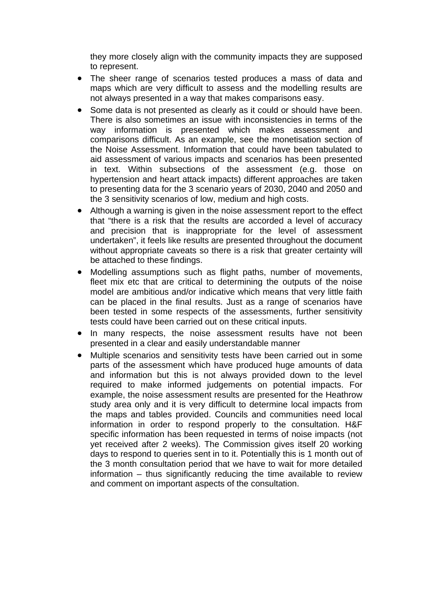they more closely align with the community impacts they are supposed to represent.

- The sheer range of scenarios tested produces a mass of data and maps which are very difficult to assess and the modelling results are not always presented in a way that makes comparisons easy.
- Some data is not presented as clearly as it could or should have been. There is also sometimes an issue with inconsistencies in terms of the way information is presented which makes assessment and comparisons difficult. As an example, see the monetisation section of the Noise Assessment. Information that could have been tabulated to aid assessment of various impacts and scenarios has been presented in text. Within subsections of the assessment (e.g. those on hypertension and heart attack impacts) different approaches are taken to presenting data for the 3 scenario years of 2030, 2040 and 2050 and the 3 sensitivity scenarios of low, medium and high costs.
- Although a warning is given in the noise assessment report to the effect that "there is a risk that the results are accorded a level of accuracy and precision that is inappropriate for the level of assessment undertaken", it feels like results are presented throughout the document without appropriate caveats so there is a risk that greater certainty will be attached to these findings.
- Modelling assumptions such as flight paths, number of movements, fleet mix etc that are critical to determining the outputs of the noise model are ambitious and/or indicative which means that very little faith can be placed in the final results. Just as a range of scenarios have been tested in some respects of the assessments, further sensitivity tests could have been carried out on these critical inputs.
- In many respects, the noise assessment results have not been presented in a clear and easily understandable manner
- Multiple scenarios and sensitivity tests have been carried out in some parts of the assessment which have produced huge amounts of data and information but this is not always provided down to the level required to make informed judgements on potential impacts. For example, the noise assessment results are presented for the Heathrow study area only and it is very difficult to determine local impacts from the maps and tables provided. Councils and communities need local information in order to respond properly to the consultation. H&F specific information has been requested in terms of noise impacts (not yet received after 2 weeks). The Commission gives itself 20 working days to respond to queries sent in to it. Potentially this is 1 month out of the 3 month consultation period that we have to wait for more detailed information – thus significantly reducing the time available to review and comment on important aspects of the consultation.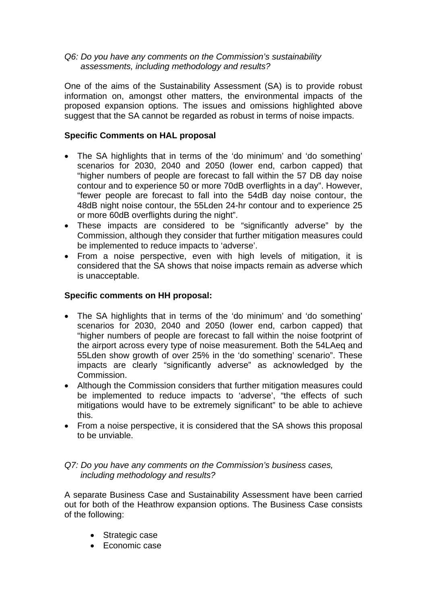*Q6: Do you have any comments on the Commission's sustainability assessments, including methodology and results?* 

One of the aims of the Sustainability Assessment (SA) is to provide robust information on, amongst other matters, the environmental impacts of the proposed expansion options. The issues and omissions highlighted above suggest that the SA cannot be regarded as robust in terms of noise impacts.

# **Specific Comments on HAL proposal**

- The SA highlights that in terms of the 'do minimum' and 'do something' scenarios for 2030, 2040 and 2050 (lower end, carbon capped) that "higher numbers of people are forecast to fall within the 57 DB day noise contour and to experience 50 or more 70dB overflights in a day". However, "fewer people are forecast to fall into the 54dB day noise contour, the 48dB night noise contour, the 55Lden 24-hr contour and to experience 25 or more 60dB overflights during the night".
- These impacts are considered to be "significantly adverse" by the Commission, although they consider that further mitigation measures could be implemented to reduce impacts to 'adverse'.
- From a noise perspective, even with high levels of mitigation, it is considered that the SA shows that noise impacts remain as adverse which is unacceptable.

# **Specific comments on HH proposal:**

- The SA highlights that in terms of the 'do minimum' and 'do something' scenarios for 2030, 2040 and 2050 (lower end, carbon capped) that "higher numbers of people are forecast to fall within the noise footprint of the airport across every type of noise measurement. Both the 54LAeq and 55Lden show growth of over 25% in the 'do something' scenario". These impacts are clearly "significantly adverse" as acknowledged by the Commission.
- Although the Commission considers that further mitigation measures could be implemented to reduce impacts to 'adverse', "the effects of such mitigations would have to be extremely significant" to be able to achieve this.
- From a noise perspective, it is considered that the SA shows this proposal to be unviable.

## *Q7: Do you have any comments on the Commission's business cases, including methodology and results?*

A separate Business Case and Sustainability Assessment have been carried out for both of the Heathrow expansion options. The Business Case consists of the following:

- Strategic case
- Economic case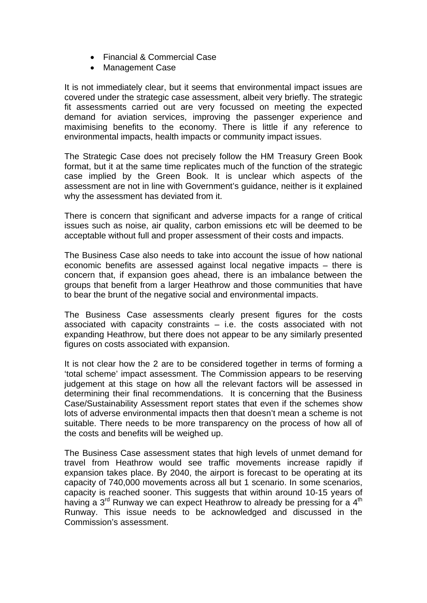- Financial & Commercial Case
- Management Case

It is not immediately clear, but it seems that environmental impact issues are covered under the strategic case assessment, albeit very briefly. The strategic fit assessments carried out are very focussed on meeting the expected demand for aviation services, improving the passenger experience and maximising benefits to the economy. There is little if any reference to environmental impacts, health impacts or community impact issues.

The Strategic Case does not precisely follow the HM Treasury Green Book format, but it at the same time replicates much of the function of the strategic case implied by the Green Book. It is unclear which aspects of the assessment are not in line with Government's guidance, neither is it explained why the assessment has deviated from it.

There is concern that significant and adverse impacts for a range of critical issues such as noise, air quality, carbon emissions etc will be deemed to be acceptable without full and proper assessment of their costs and impacts.

The Business Case also needs to take into account the issue of how national economic benefits are assessed against local negative impacts – there is concern that, if expansion goes ahead, there is an imbalance between the groups that benefit from a larger Heathrow and those communities that have to bear the brunt of the negative social and environmental impacts.

The Business Case assessments clearly present figures for the costs associated with capacity constraints – i.e. the costs associated with not expanding Heathrow, but there does not appear to be any similarly presented figures on costs associated with expansion.

It is not clear how the 2 are to be considered together in terms of forming a 'total scheme' impact assessment. The Commission appears to be reserving judgement at this stage on how all the relevant factors will be assessed in determining their final recommendations. It is concerning that the Business Case/Sustainability Assessment report states that even if the schemes show lots of adverse environmental impacts then that doesn't mean a scheme is not suitable. There needs to be more transparency on the process of how all of the costs and benefits will be weighed up.

The Business Case assessment states that high levels of unmet demand for travel from Heathrow would see traffic movements increase rapidly if expansion takes place. By 2040, the airport is forecast to be operating at its capacity of 740,000 movements across all but 1 scenario. In some scenarios, capacity is reached sooner. This suggests that within around 10-15 years of having a  $3^{rd}$  Runway we can expect Heathrow to already be pressing for a  $4^{th}$ Runway. This issue needs to be acknowledged and discussed in the Commission's assessment.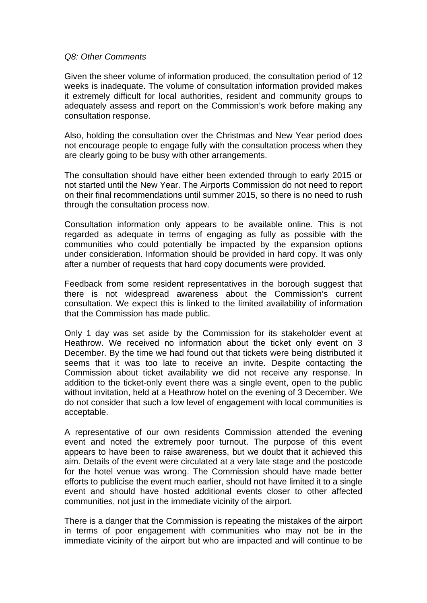#### *Q8: Other Comments*

Given the sheer volume of information produced, the consultation period of 12 weeks is inadequate. The volume of consultation information provided makes it extremely difficult for local authorities, resident and community groups to adequately assess and report on the Commission's work before making any consultation response.

Also, holding the consultation over the Christmas and New Year period does not encourage people to engage fully with the consultation process when they are clearly going to be busy with other arrangements.

The consultation should have either been extended through to early 2015 or not started until the New Year. The Airports Commission do not need to report on their final recommendations until summer 2015, so there is no need to rush through the consultation process now.

Consultation information only appears to be available online. This is not regarded as adequate in terms of engaging as fully as possible with the communities who could potentially be impacted by the expansion options under consideration. Information should be provided in hard copy. It was only after a number of requests that hard copy documents were provided.

Feedback from some resident representatives in the borough suggest that there is not widespread awareness about the Commission's current consultation. We expect this is linked to the limited availability of information that the Commission has made public.

Only 1 day was set aside by the Commission for its stakeholder event at Heathrow. We received no information about the ticket only event on 3 December. By the time we had found out that tickets were being distributed it seems that it was too late to receive an invite. Despite contacting the Commission about ticket availability we did not receive any response. In addition to the ticket-only event there was a single event, open to the public without invitation, held at a Heathrow hotel on the evening of 3 December. We do not consider that such a low level of engagement with local communities is acceptable.

A representative of our own residents Commission attended the evening event and noted the extremely poor turnout. The purpose of this event appears to have been to raise awareness, but we doubt that it achieved this aim. Details of the event were circulated at a very late stage and the postcode for the hotel venue was wrong. The Commission should have made better efforts to publicise the event much earlier, should not have limited it to a single event and should have hosted additional events closer to other affected communities, not just in the immediate vicinity of the airport.

There is a danger that the Commission is repeating the mistakes of the airport in terms of poor engagement with communities who may not be in the immediate vicinity of the airport but who are impacted and will continue to be